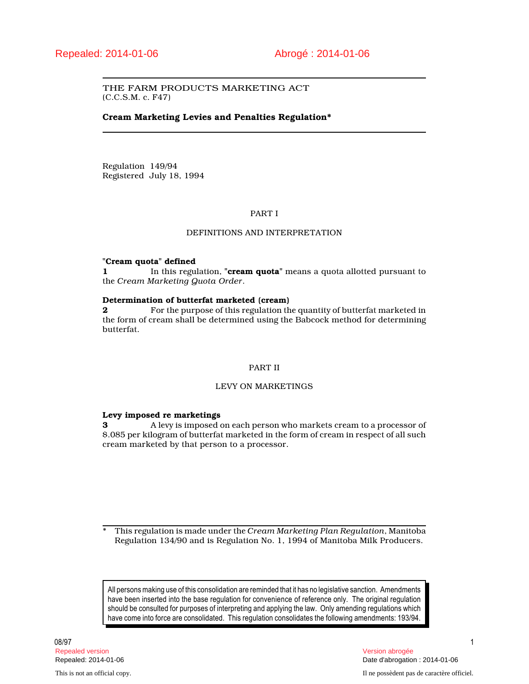## THE FARM PRODUCTS MARKETING ACT (C.C.S.M. c. F47)

## **Cream Marketing Levies and Penalties Regulation\***

Regulation 149/94 Registered July 18, 1994

## PART I

## DEFINITIONS AND INTERPRETATION

#### **"Cream quota" defined**

**1** In this regulation, **"cream quota"** means a quota allotted pursuant to the *Cream Marketing Quota Order*.

#### **Determination of butterfat marketed (cream)**

**2 Posister For the purpose of this regulation the quantity of butterfat marketed in** the form of cream shall be determined using the Babcock method for determining butterfat.

#### PART II

## LEVY ON MARKETINGS

#### **Levy imposed re marketings**

**3** A levy is imposed on each person who markets cream to a processor of \$.085 per kilogram of butterfat marketed in the form of cream in respect of all such cream marketed by that person to a processor.

\* This regulation is made under the *Cream Marketing Plan Regulation*, Manitoba Regulation 134/90 and is Regulation No. 1, 1994 of Manitoba Milk Producers.

All persons making use of this consolidation are reminded that it has no legislative sanction. Amendments have been inserted into the base regulation for convenience of reference only. The original regulation should be consulted for purposes of interpreting and applying the law. Only amending regulations which have come into force are consolidated. This regulation consolidates the following amendments: 193/94.

08/97 1 Repealed version Version abrogée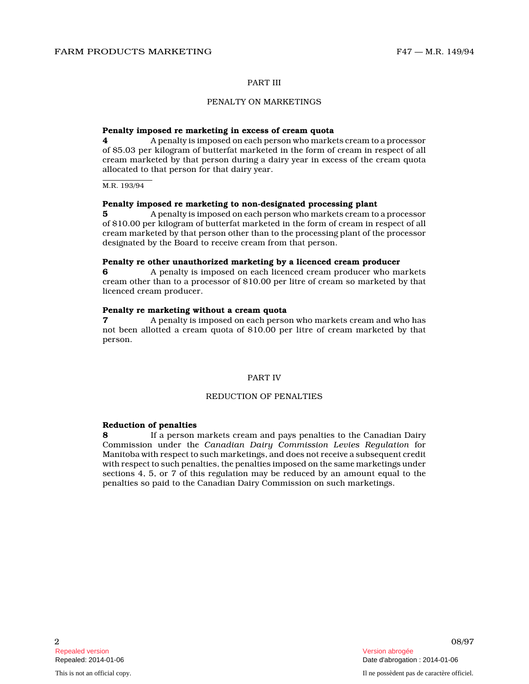#### PART III

## PENALTY ON MARKETINGS

#### **Penalty imposed re marketing in excess of cream quota**

**4** A penalty is imposed on each person who markets cream to a processor of \$5.03 per kilogram of butterfat marketed in the form of cream in respect of all cream marketed by that person during a dairy year in excess of the cream quota allocated to that person for that dairy year.

M.R. 193/94

## **Penalty imposed re marketing to non-designated processing plant**

**5** A penalty is imposed on each person who markets cream to a processor of \$10.00 per kilogram of butterfat marketed in the form of cream in respect of all cream marketed by that person other than to the processing plant of the processor designated by the Board to receive cream from that person.

# **Penalty re other unauthorized marketing by a licenced cream producer 6** A penalty is imposed on each licenced cream producer who markets

cream other than to a processor of \$10.00 per litre of cream so marketed by that licenced cream producer.

#### **Penalty re marketing without a cream quota**

**7** A penalty is imposed on each person who markets cream and who has not been allotted a cream quota of \$10.00 per litre of cream marketed by that person.

## PART IV

#### REDUCTION OF PENALTIES

## **Reduction of penalties**

**8** If a person markets cream and pays penalties to the Canadian Dairy Commission under the *Canadian Dairy Commission Levies Regulation* for Manitoba with respect to such marketings, and does not receive a subsequent credit with respect to such penalties, the penalties imposed on the same marketings under sections 4, 5, or 7 of this regulation may be reduced by an amount equal to the penalties so paid to the Canadian Dairy Commission on such marketings.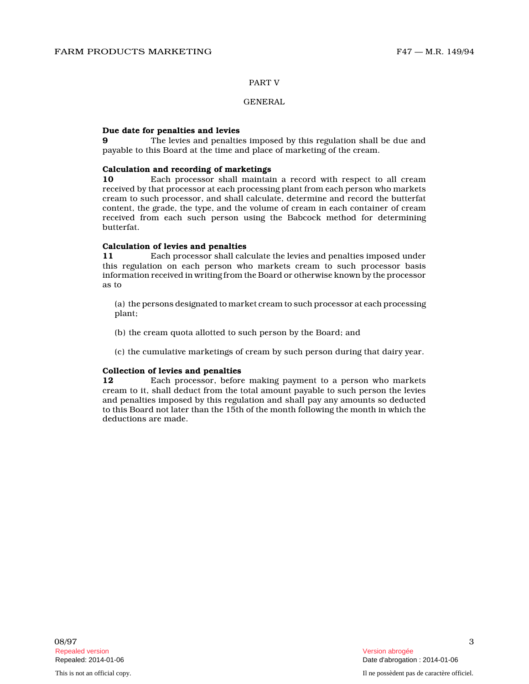#### PART V

#### GENERAL

#### **Due date for penalties and levies**

**9** The levies and penalties imposed by this regulation shall be due and payable to this Board at the time and place of marketing of the cream.

#### **Calculation and recording of marketings**

**10** Each processor shall maintain a record with respect to all cream received by that processor at each processing plant from each person who markets cream to such processor, and shall calculate, determine and record the butterfat content, the grade, the type, and the volume of cream in each container of cream received from each such person using the Babcock method for determining butterfat.

#### **Calculation of levies and penalties**

**11** Each processor shall calculate the levies and penalties imposed under this regulation on each person who markets cream to such processor basis information received in writing from the Board or otherwise known by the processor as to

(a) the persons designated to market cream to such processor at each processing plant;

- (b) the cream quota allotted to such person by the Board; and
- (c) the cumulative marketings of cream by such person during that dairy year.

## **Collection of levies and penalties**

**12** Each processor, before making payment to a person who markets cream to it, shall deduct from the total amount payable to such person the levies and penalties imposed by this regulation and shall pay any amounts so deducted to this Board not later than the 15th of the month following the month in which the deductions are made.